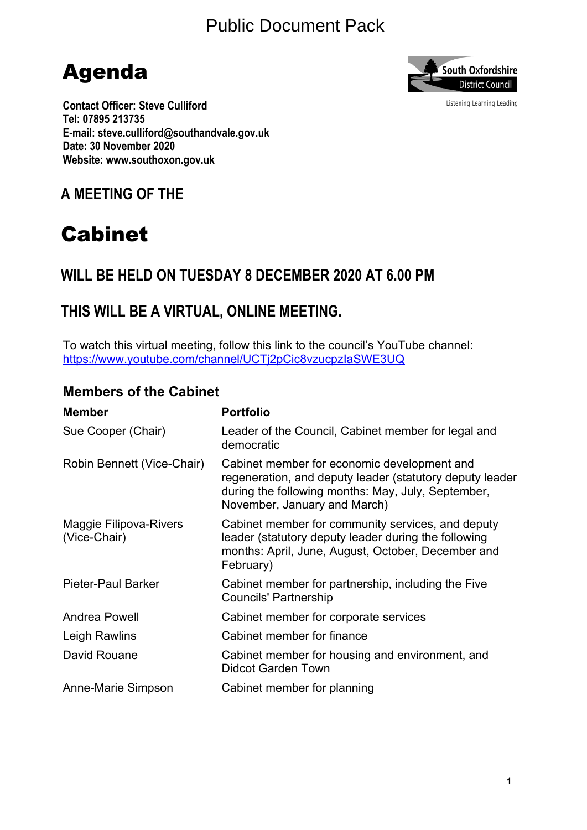# Public Document Pack





Listening Learning Leading

**Contact Officer: Steve Culliford Tel: 07895 213735 E-mail: steve.culliford@southandvale.gov.uk Date: 30 November 2020 Website: www.southoxon.gov.uk**

# **A MEETING OF THE**

# Cabinet

# **WILL BE HELD ON TUESDAY 8 DECEMBER 2020 AT 6.00 PM**

# **THIS WILL BE A VIRTUAL, ONLINE MEETING.**

To watch this virtual meeting, follow this link to the council's YouTube channel: <https://www.youtube.com/channel/UCTj2pCic8vzucpzIaSWE3UQ>

### **Members of the Cabinet**

| <b>Member</b>                          | <b>Portfolio</b>                                                                                                                                                                              |
|----------------------------------------|-----------------------------------------------------------------------------------------------------------------------------------------------------------------------------------------------|
| Sue Cooper (Chair)                     | Leader of the Council, Cabinet member for legal and<br>democratic                                                                                                                             |
| Robin Bennett (Vice-Chair)             | Cabinet member for economic development and<br>regeneration, and deputy leader (statutory deputy leader<br>during the following months: May, July, September,<br>November, January and March) |
| Maggie Filipova-Rivers<br>(Vice-Chair) | Cabinet member for community services, and deputy<br>leader (statutory deputy leader during the following<br>months: April, June, August, October, December and<br>February)                  |
| Pieter-Paul Barker                     | Cabinet member for partnership, including the Five<br><b>Councils' Partnership</b>                                                                                                            |
| <b>Andrea Powell</b>                   | Cabinet member for corporate services                                                                                                                                                         |
| Leigh Rawlins                          | Cabinet member for finance                                                                                                                                                                    |
| David Rouane                           | Cabinet member for housing and environment, and<br><b>Didcot Garden Town</b>                                                                                                                  |
| Anne-Marie Simpson                     | Cabinet member for planning                                                                                                                                                                   |
|                                        |                                                                                                                                                                                               |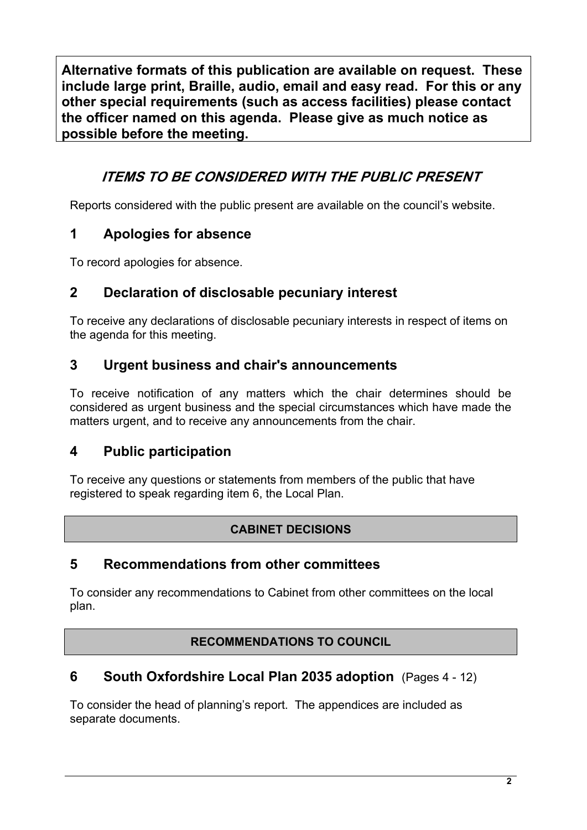**Alternative formats of this publication are available on request. These include large print, Braille, audio, email and easy read. For this or any other special requirements (such as access facilities) please contact the officer named on this agenda. Please give as much notice as possible before the meeting.**

## *ITEMS TO BE CONSIDERED WITH THE PUBLIC PRESENT*

Reports considered with the public present are available on the council's website.

### **1 Apologies for absence**

To record apologies for absence.

### **2 Declaration of disclosable pecuniary interest**

To receive any declarations of disclosable pecuniary interests in respect of items on the agenda for this meeting.

### **3 Urgent business and chair's announcements**

To receive notification of any matters which the chair determines should be considered as urgent business and the special circumstances which have made the matters urgent, and to receive any announcements from the chair.

### **4 Public participation**

To receive any questions or statements from members of the public that have registered to speak regarding item 6, the Local Plan.

### **CABINET DECISIONS**

### **5 Recommendations from other committees**

To consider any recommendations to Cabinet from other committees on the local plan.

### **RECOMMENDATIONS TO COUNCIL**

### **6 South Oxfordshire Local Plan 2035 adoption** (Pages 4 - 12)

To consider the head of planning's report. The appendices are included as separate documents.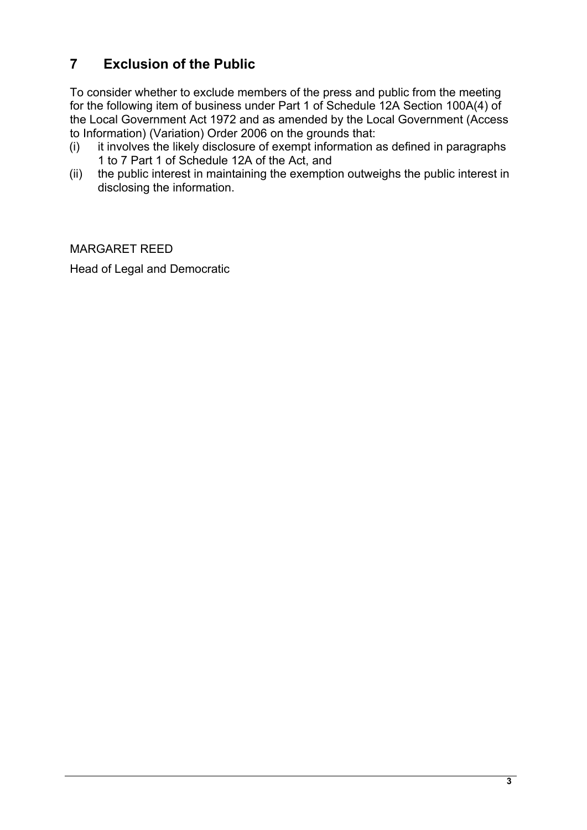## **7 Exclusion of the Public**

To consider whether to exclude members of the press and public from the meeting for the following item of business under Part 1 of Schedule 12A Section 100A(4) of the Local Government Act 1972 and as amended by the Local Government (Access to Information) (Variation) Order 2006 on the grounds that:

- (i) it involves the likely disclosure of exempt information as defined in paragraphs 1 to 7 Part 1 of Schedule 12A of the Act, and
- (ii) the public interest in maintaining the exemption outweighs the public interest in disclosing the information.

MARGARET REED

Head of Legal and Democratic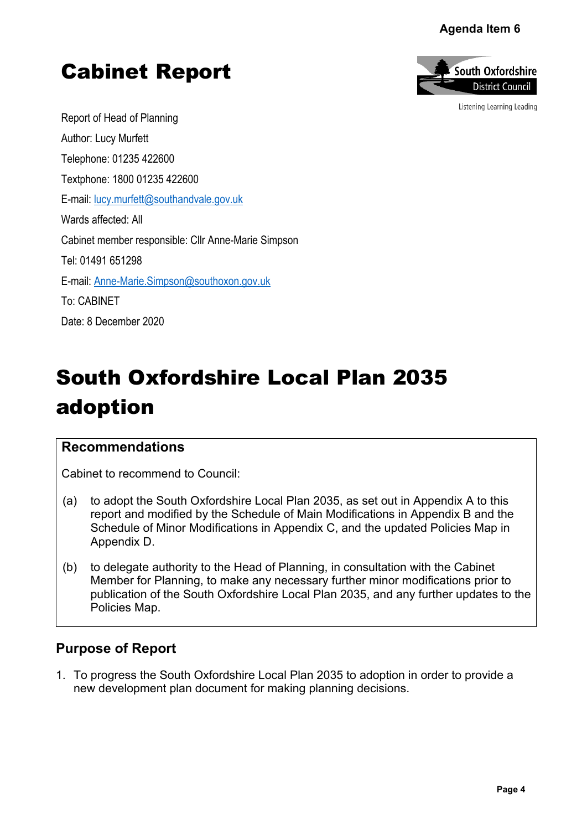#### Agenda Item 6





Listening Learning Leading

Report of Head of Planning Author: Lucy Murfett Telephone: 01235 422600 Textphone: 1800 01235 422600 E-mail: [lucy.murfett@southandvale.gov.uk](mailto:lucy.murfett@southandvale.gov.uk) Wards affected: All Cabinet member responsible: Cllr Anne-Marie Simpson Tel: 01491 651298 E-mail: [Anne-Marie.Simpson@southoxon.gov.uk](mailto:Anne-Marie.Simpson@southoxon.gov.uk) To: CABINET Date: 8 December 2020

# South Oxfordshire Local Plan 2035 adoption

#### **Recommendations**

Cabinet to recommend to Council:

- (a) to adopt the South Oxfordshire Local Plan 2035, as set out in Appendix A to this report and modified by the Schedule of Main Modifications in Appendix B and the Schedule of Minor Modifications in Appendix C, and the updated Policies Map in Appendix D.
- (b) to delegate authority to the Head of Planning, in consultation with the Cabinet Member for Planning, to make any necessary further minor modifications prior to publication of the South Oxfordshire Local Plan 2035, and any further updates to the Policies Map. **Pagenda Item 6**<br> **Pagenda Item 6**<br> **Page 4**<br> **Page 4**<br> **Page 4**<br> **Page 4**<br> **Page 4**<br> **Page 4**<br> **Page 4**

### **Purpose of Report**

1. To progress the South Oxfordshire Local Plan 2035 to adoption in order to provide a new development plan document for making planning decisions.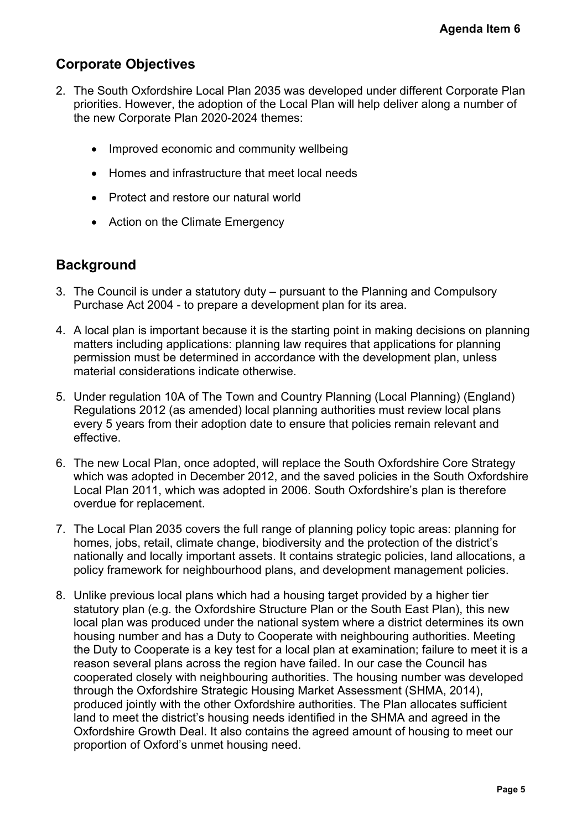### **Corporate Objectives**

- 2. The South Oxfordshire Local Plan 2035 was developed under different Corporate Plan priorities. However, the adoption of the Local Plan will help deliver along a number of the new Corporate Plan 2020-2024 themes:
	- Improved economic and community wellbeing
	- Homes and infrastructure that meet local needs
	- Protect and restore our natural world
	- Action on the Climate Emergency

### **Background**

- 3. The Council is under a statutory duty pursuant to the Planning and Compulsory Purchase Act 2004 - to prepare a development plan for its area.
- 4. A local plan is important because it is the starting point in making decisions on planning matters including applications: planning law requires that applications for planning permission must be determined in accordance with the development plan, unless material considerations indicate otherwise.
- 5. Under regulation 10A of The Town and Country Planning (Local Planning) (England) Regulations 2012 (as amended) local planning authorities must review local plans every 5 years from their adoption date to ensure that policies remain relevant and effective.
- 6. The new Local Plan, once adopted, will replace the South Oxfordshire Core Strategy which was adopted in December 2012, and the saved policies in the South Oxfordshire Local Plan 2011, which was adopted in 2006. South Oxfordshire's plan is therefore overdue for replacement.
- 7. The Local Plan 2035 covers the full range of planning policy topic areas: planning for homes, jobs, retail, climate change, biodiversity and the protection of the district's nationally and locally important assets. It contains strategic policies, land allocations, a policy framework for neighbourhood plans, and development management policies.
- 8. Unlike previous local plans which had a housing target provided by a higher tier statutory plan (e.g. the Oxfordshire Structure Plan or the South East Plan), this new local plan was produced under the national system where a district determines its own housing number and has a Duty to Cooperate with neighbouring authorities. Meeting the Duty to Cooperate is a key test for a local plan at examination; failure to meet it is a reason several plans across the region have failed. In our case the Council has cooperated closely with neighbouring authorities. The housing number was developed through the Oxfordshire Strategic Housing Market Assessment (SHMA, 2014), produced jointly with the other Oxfordshire authorities. The Plan allocates sufficient land to meet the district's housing needs identified in the SHMA and agreed in the Oxfordshire Growth Deal. It also contains the agreed amount of housing to meet our proportion of Oxford's unmet housing need. **Agenda Item 6**<br> **t** Corporate Plan<br> **p** a number of<br> **p** a number of<br> **p** a number of<br> **p** (England)<br> **r** local plans<br>
elevant and<br> **Core Strategy**<br> **south Oxfordshire**<br> **n** is therefore<br> **ns:** planning for<br> **he** district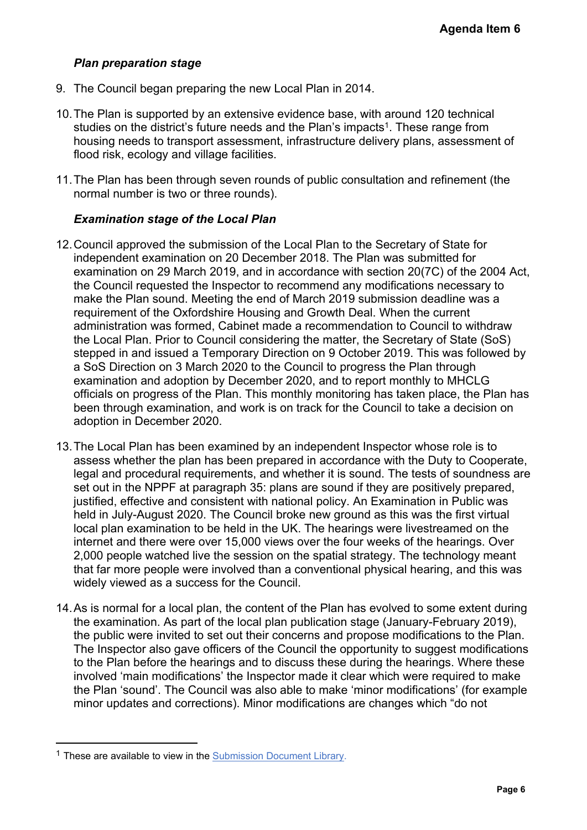#### *Plan preparation stage*

- 9. The Council began preparing the new Local Plan in 2014.
- 10.The Plan is supported by an extensive evidence base, with around 120 technical studies on the district's future needs and the Plan's impacts<sup>1</sup>. These range from housing needs to transport assessment, infrastructure delivery plans, assessment of flood risk, ecology and village facilities.
- 11.The Plan has been through seven rounds of public consultation and refinement (the normal number is two or three rounds).

#### *Examination stage of the Local Plan*

- 12.Council approved the submission of the Local Plan to the Secretary of State for independent examination on 20 December 2018. The Plan was submitted for examination on 29 March 2019, and in accordance with section 20(7C) of the 2004 Act, the Council requested the Inspector to recommend any modifications necessary to make the Plan sound. Meeting the end of March 2019 submission deadline was a requirement of the Oxfordshire Housing and Growth Deal. When the current administration was formed, Cabinet made a recommendation to Council to withdraw the Local Plan. Prior to Council considering the matter, the Secretary of State (SoS) stepped in and issued a Temporary Direction on 9 October 2019. This was followed by a SoS Direction on 3 March 2020 to the Council to progress the Plan through examination and adoption by December 2020, and to report monthly to MHCLG officials on progress of the Plan. This monthly monitoring has taken place, the Plan has been through examination, and work is on track for the Council to take a decision on adoption in December 2020. **Agenda Item 6**<br>
0 technical<br>
ange from<br>
assessment of<br>
effinement (the<br>
ffinement (the<br>
1 of the 2004 Act<br>
necessary to<br>
dline was a<br>
urrent<br>
coil to withdraw<br>
of State (SoS)<br>
was followed by<br>
hrough<br>
b MHCLG<br>
ace, the Pl
- 13.The Local Plan has been examined by an independent Inspector whose role is to assess whether the plan has been prepared in accordance with the Duty to Cooperate, legal and procedural requirements, and whether it is sound. The tests of soundness are set out in the NPPF at paragraph 35: plans are sound if they are positively prepared, justified, effective and consistent with national policy. An Examination in Public was held in July-August 2020. The Council broke new ground as this was the first virtual local plan examination to be held in the UK. The hearings were livestreamed on the internet and there were over 15,000 views over the four weeks of the hearings. Over 2,000 people watched live the session on the spatial strategy. The technology meant that far more people were involved than a conventional physical hearing, and this was widely viewed as a success for the Council.
- 14.As is normal for a local plan, the content of the Plan has evolved to some extent during the examination. As part of the local plan publication stage (January-February 2019), the public were invited to set out their concerns and propose modifications to the Plan. The Inspector also gave officers of the Council the opportunity to suggest modifications to the Plan before the hearings and to discuss these during the hearings. Where these involved 'main modifications' the Inspector made it clear which were required to make the Plan 'sound'. The Council was also able to make 'minor modifications' (for example minor updates and corrections). Minor modifications are changes which "do not

<sup>&</sup>lt;sup>1</sup> These are available to view in the [Submission](http://www.southoxon.gov.uk/ccm/support/Main.jsp?MODULE=FolderView&ID=1283190358&CODE=02C6029D539747E85D411F11E1E73C1D&NAME=Local%20Plan%20-%20Examination%20Library&REF=SLP_EXAMLIB&REFERER_URL_IN=&SOVA_IN=SOUTH#exactline) Document Library.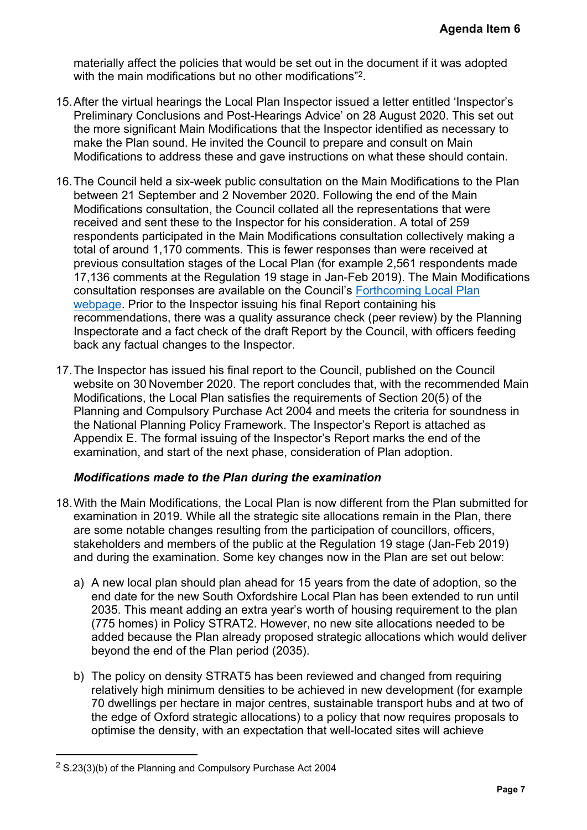materially affect the policies that would be set out in the document if it was adopted with the main modifications but no other modifications"<sup>2</sup>.

- 15.After the virtual hearings the Local Plan Inspector issued a letter entitled 'Inspector's Preliminary Conclusions and Post-Hearings Advice' on 28 August 2020. This set out the more significant Main Modifications that the Inspector identified as necessary to make the Plan sound. He invited the Council to prepare and consult on Main Modifications to address these and gave instructions on what these should contain.
- 16.The Council held a six-week public consultation on the Main Modifications to the Plan between 21 September and 2 November 2020. Following the end of the Main Modifications consultation, the Council collated all the representations that were received and sent these to the Inspector for his consideration. A total of 259 respondents participated in the Main Modifications consultation collectively making a total of around 1,170 comments. This is fewer responses than were received at previous consultation stages of the Local Plan (for example 2,561 respondents made 17,136 comments at the Regulation 19 stage in Jan-Feb 2019). The Main Modifications consultation responses are available on the Council's [Forthcoming](https://www.southoxon.gov.uk/south-oxfordshire-district-council/planning-and-development/local-plan-and-planning-policies/forthcoming-planning-policies/our-forthcoming-local-plan/independent-examination-of-our-local-plan/) Local Plan [webpage](https://www.southoxon.gov.uk/south-oxfordshire-district-council/planning-and-development/local-plan-and-planning-policies/forthcoming-planning-policies/our-forthcoming-local-plan/independent-examination-of-our-local-plan/). Prior to the Inspector issuing his final Report containing his recommendations, there was a quality assurance check (peer review) by the Planning Inspectorate and a fact check of the draft Report by the Council, with officers feeding back any factual changes to the Inspector. Agenda Item 6<br>was adopted<br>ed 'Inspector's<br>0. This set out<br>necessary to<br>n Main<br>iould contain.<br>ions to the Plan<br>he Main<br>that were<br>of 259<br>ively making a<br>ceived at<br>ceived at<br>bondents made<br>cail Plan<br>by the Planning<br>officers fee
- 17.The Inspector has issued his final report to the Council, published on the Council website on 30 November 2020. The report concludes that, with the recommended Main Modifications, the Local Plan satisfies the requirements of Section 20(5) of the Planning and Compulsory Purchase Act 2004 and meets the criteria for soundness in the National Planning Policy Framework. The Inspector's Report is attached as Appendix E. The formal issuing of the Inspector's Report marks the end of the examination, and start of the next phase, consideration of Plan adoption.

#### *Modifications made to the Plan during the examination*

- 18.With the Main Modifications, the Local Plan is now different from the Plan submitted for examination in 2019. While all the strategic site allocations remain in the Plan, there are some notable changes resulting from the participation of councillors, officers, stakeholders and members of the public at the Regulation 19 stage (Jan-Feb 2019) and during the examination. Some key changes now in the Plan are set out below:
	- a) A new local plan should plan ahead for 15 years from the date of adoption, so the end date for the new South Oxfordshire Local Plan has been extended to run until 2035. This meant adding an extra year's worth of housing requirement to the plan (775 homes) in Policy STRAT2. However, no new site allocations needed to be added because the Plan already proposed strategic allocations which would deliver beyond the end of the Plan period (2035).
	- b) The policy on density STRAT5 has been reviewed and changed from requiring relatively high minimum densities to be achieved in new development (for example 70 dwellings per hectare in major centres, sustainable transport hubs and at two of the edge of Oxford strategic allocations) to a policy that now requires proposals to optimise the density, with an expectation that well-located sites will achieve

 $2$  S.23(3)(b) of the Planning and Compulsory Purchase Act 2004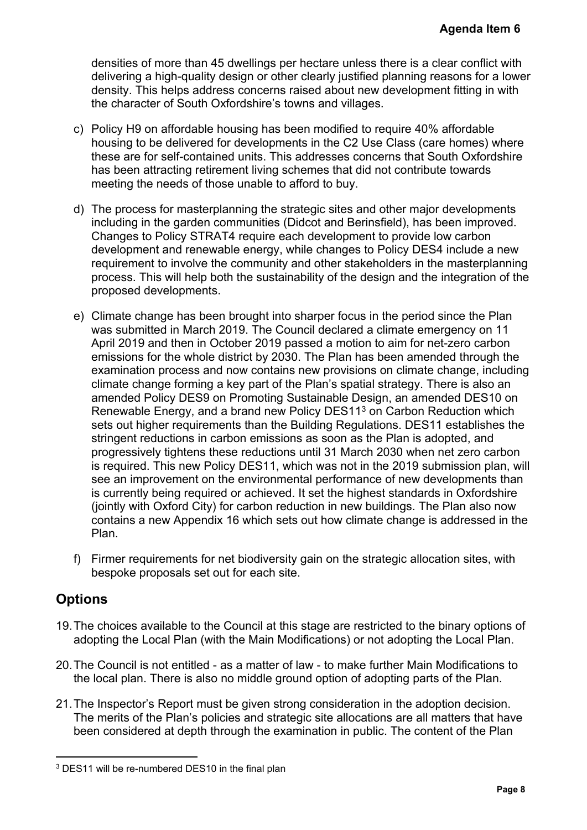densities of more than 45 dwellings per hectare unless there is a clear conflict with delivering a high-quality design or other clearly justified planning reasons for a lower density. This helps address concerns raised about new development fitting in with the character of South Oxfordshire's towns and villages.

- c) Policy H9 on affordable housing has been modified to require 40% affordable housing to be delivered for developments in the C2 Use Class (care homes) where these are for self-contained units. This addresses concerns that South Oxfordshire has been attracting retirement living schemes that did not contribute towards meeting the needs of those unable to afford to buy.
- d) The process for masterplanning the strategic sites and other major developments including in the garden communities (Didcot and Berinsfield), has been improved. Changes to Policy STRAT4 require each development to provide low carbon development and renewable energy, while changes to Policy DES4 include a new requirement to involve the community and other stakeholders in the masterplanning process. This will help both the sustainability of the design and the integration of the proposed developments.
- e) Climate change has been brought into sharper focus in the period since the Plan was submitted in March 2019. The Council declared a climate emergency on 11 April 2019 and then in October 2019 passed a motion to aim for net-zero carbon emissions for the whole district by 2030. The Plan has been amended through the examination process and now contains new provisions on climate change, including climate change forming a key part of the Plan's spatial strategy. There is also an amended Policy DES9 on Promoting Sustainable Design, an amended DES10 on Renewable Energy, and a brand new Policy DES11<sup>3</sup> on Carbon Reduction which sets out higher requirements than the Building Regulations. DES11 establishes the stringent reductions in carbon emissions as soon as the Plan is adopted, and progressively tightens these reductions until 31 March 2030 when net zero carbon is required. This new Policy DES11, which was not in the 2019 submission plan, will see an improvement on the environmental performance of new developments than is currently being required or achieved. It set the highest standards in Oxfordshire (jointly with Oxford City) for carbon reduction in new buildings. The Plan also now contains a new Appendix 16 which sets out how climate change is addressed in the Plan. Agenda Item 6<br>
lear conflict with<br>
assons for a lowe<br>
ant fitting in with<br>
affordable<br>
e homes) where<br>
buth Oxfordshire<br>
le towards<br>
developments<br>
developments<br>
developments<br>
developments<br>
4 include a new<br>
integration of t
- f) Firmer requirements for net biodiversity gain on the strategic allocation sites, with bespoke proposals set out for each site.

### **Options**

- 19.The choices available to the Council at this stage are restricted to the binary options of adopting the Local Plan (with the Main Modifications) or not adopting the Local Plan.
- 20.The Council is not entitled as a matter of law to make further Main Modifications to the local plan. There is also no middle ground option of adopting parts of the Plan.
- 21.The Inspector's Report must be given strong consideration in the adoption decision. The merits of the Plan's policies and strategic site allocations are all matters that have been considered at depth through the examination in public. The content of the Plan

<sup>3</sup> DES11 will be re-numbered DES10 in the final plan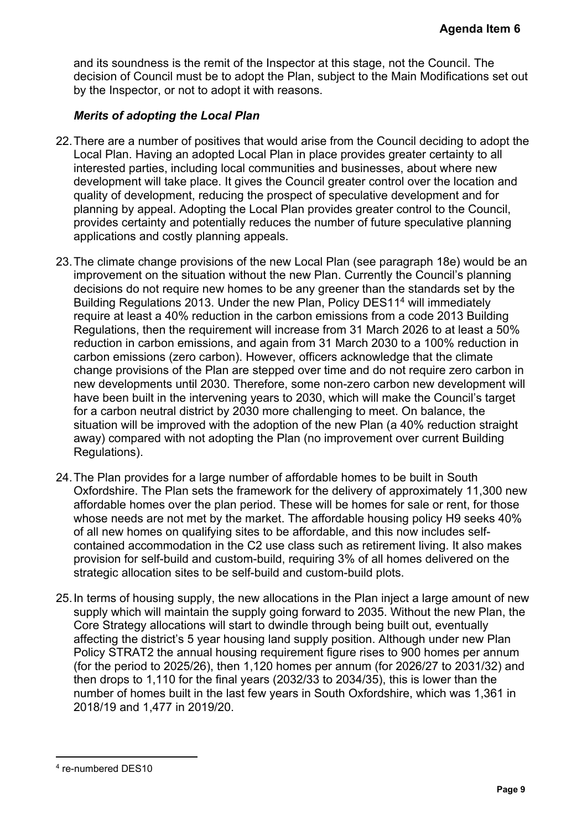and its soundness is the remit of the Inspector at this stage, not the Council. The decision of Council must be to adopt the Plan, subject to the Main Modifications set out by the Inspector, or not to adopt it with reasons.

#### *Merits of adopting the Local Plan*

- 22.There are a number of positives that would arise from the Council deciding to adopt the Local Plan. Having an adopted Local Plan in place provides greater certainty to all interested parties, including local communities and businesses, about where new development will take place. It gives the Council greater control over the location and quality of development, reducing the prospect of speculative development and for planning by appeal. Adopting the Local Plan provides greater control to the Council, provides certainty and potentially reduces the number of future speculative planning applications and costly planning appeals.
- 23.The climate change provisions of the new Local Plan (see paragraph 18e) would be an improvement on the situation without the new Plan. Currently the Council's planning decisions do not require new homes to be any greener than the standards set by the Building Regulations 2013. Under the new Plan, Policy DES11<sup>4</sup> will immediately require at least a 40% reduction in the carbon emissions from a code 2013 Building Regulations, then the requirement will increase from 31 March 2026 to at least a 50% reduction in carbon emissions, and again from 31 March 2030 to a 100% reduction in carbon emissions (zero carbon). However, officers acknowledge that the climate change provisions of the Plan are stepped over time and do not require zero carbon in new developments until 2030. Therefore, some non-zero carbon new development will have been built in the intervening years to 2030, which will make the Council's target for a carbon neutral district by 2030 more challenging to meet. On balance, the situation will be improved with the adoption of the new Plan (a 40% reduction straight away) compared with not adopting the Plan (no improvement over current Building Regulations). **Agenda Item 6**<br>
buncil. The<br>
difications set ou<br>
iding to adopt the<br>
trainty to all<br>
where new<br>
ne location and<br>
nent and for<br>
o the Council,<br>
ative planning<br>
18e) would be ar<br>
neil's planning<br>
ards set by the<br>
2013 Build
- 24.The Plan provides for a large number of affordable homes to be built in South Oxfordshire. The Plan sets the framework for the delivery of approximately 11,300 new affordable homes over the plan period. These will be homes for sale or rent, for those whose needs are not met by the market. The affordable housing policy H9 seeks 40% of all new homes on qualifying sites to be affordable, and this now includes selfcontained accommodation in the C2 use class such as retirement living. It also makes provision for self-build and custom-build, requiring 3% of all homes delivered on the strategic allocation sites to be self-build and custom-build plots.
- 25.In terms of housing supply, the new allocations in the Plan inject a large amount of new supply which will maintain the supply going forward to 2035. Without the new Plan, the Core Strategy allocations will start to dwindle through being built out, eventually affecting the district's 5 year housing land supply position. Although under new Plan Policy STRAT2 the annual housing requirement figure rises to 900 homes per annum (for the period to 2025/26), then 1,120 homes per annum (for 2026/27 to 2031/32) and then drops to 1,110 for the final years (2032/33 to 2034/35), this is lower than the number of homes built in the last few years in South Oxfordshire, which was 1,361 in 2018/19 and 1,477 in 2019/20.

<sup>4</sup> re-numbered DES10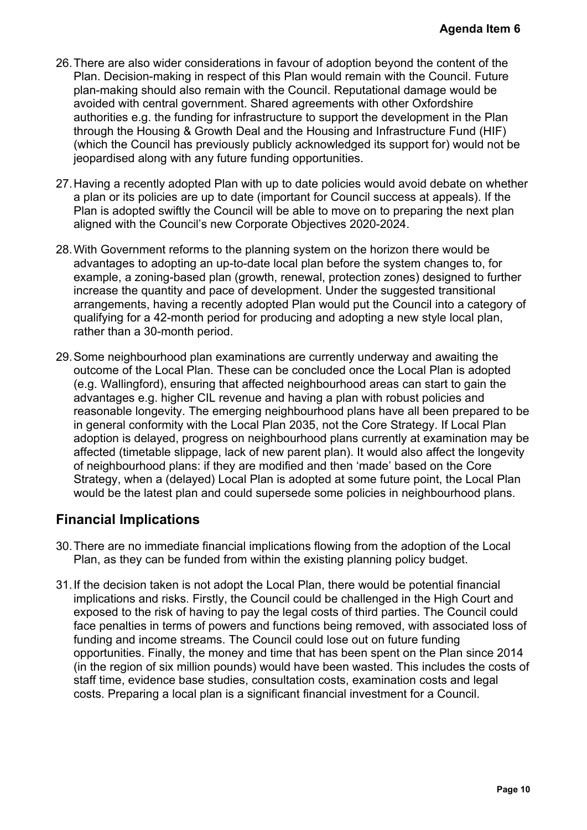- 26.There are also wider considerations in favour of adoption beyond the content of the Plan. Decision-making in respect of this Plan would remain with the Council. Future plan-making should also remain with the Council. Reputational damage would be avoided with central government. Shared agreements with other Oxfordshire authorities e.g. the funding for infrastructure to support the development in the Plan through the Housing & Growth Deal and the Housing and Infrastructure Fund (HIF) (which the Council has previously publicly acknowledged its support for) would not be jeopardised along with any future funding opportunities.
- 27.Having a recently adopted Plan with up to date policies would avoid debate on whether a plan or its policies are up to date (important for Council success at appeals). If the Plan is adopted swiftly the Council will be able to move on to preparing the next plan aligned with the Council's new Corporate Objectives 2020-2024.
- 28.With Government reforms to the planning system on the horizon there would be advantages to adopting an up-to-date local plan before the system changes to, for example, a zoning-based plan (growth, renewal, protection zones) designed to further increase the quantity and pace of development. Under the suggested transitional arrangements, having a recently adopted Plan would put the Council into a category of qualifying for a 42-month period for producing and adopting a new style local plan, rather than a 30-month period.
- 29.Some neighbourhood plan examinations are currently underway and awaiting the outcome of the Local Plan. These can be concluded once the Local Plan is adopted (e.g. Wallingford), ensuring that affected neighbourhood areas can start to gain the advantages e.g. higher CIL revenue and having a plan with robust policies and reasonable longevity. The emerging neighbourhood plans have all been prepared to be in general conformity with the Local Plan 2035, not the Core Strategy. If Local Plan adoption is delayed, progress on neighbourhood plans currently at examination may be affected (timetable slippage, lack of new parent plan). It would also affect the longevity of neighbourhood plans: if they are modified and then 'made' based on the Core Strategy, when a (delayed) Local Plan is adopted at some future point, the Local Plan would be the latest plan and could supersede some policies in neighbourhood plans. Agenda Item 6<br>
content of the<br>
puncil. Future<br>
e would be<br>
rdshire<br>
nt in the Plan<br>
e Fund (HIF)<br>
pr) would not be<br>
ebate on whether<br>
ppeals). If the<br>
ghe next plan<br>
would be<br>
anges to, for<br>
signed to further<br>
transitional

### **Financial Implications**

- 30.There are no immediate financial implications flowing from the adoption of the Local Plan, as they can be funded from within the existing planning policy budget.
- 31.If the decision taken is not adopt the Local Plan, there would be potential financial implications and risks. Firstly, the Council could be challenged in the High Court and exposed to the risk of having to pay the legal costs of third parties. The Council could face penalties in terms of powers and functions being removed, with associated loss of funding and income streams. The Council could lose out on future funding opportunities. Finally, the money and time that has been spent on the Plan since 2014 (in the region of six million pounds) would have been wasted. This includes the costs of staff time, evidence base studies, consultation costs, examination costs and legal costs. Preparing a local plan is a significant financial investment for a Council.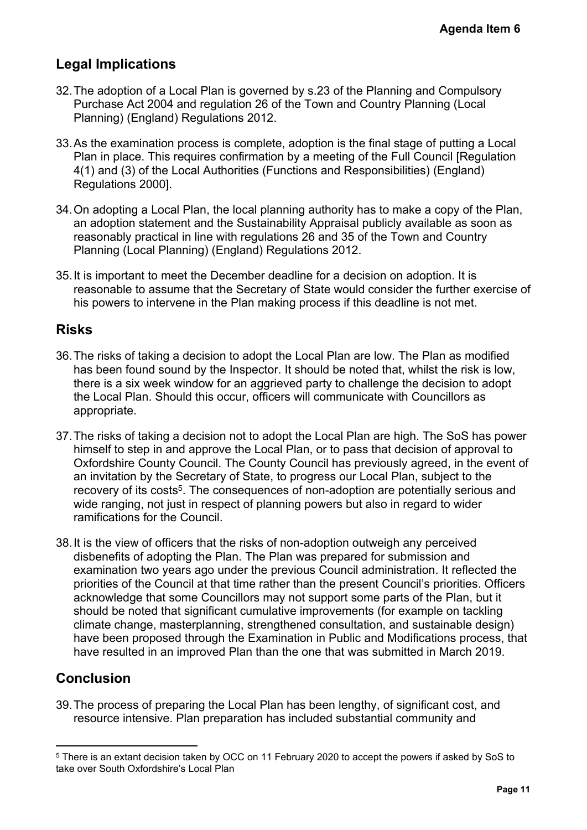### **Legal Implications**

- 32.The adoption of a Local Plan is governed by s.23 of the Planning and Compulsory Purchase Act 2004 and regulation 26 of the Town and Country Planning (Local Planning) (England) Regulations 2012.
- 33.As the examination process is complete, adoption is the final stage of putting a Local Plan in place. This requires confirmation by a meeting of the Full Council [Regulation 4(1) and (3) of the Local Authorities (Functions and Responsibilities) (England) Regulations 2000].
- 34.On adopting a Local Plan, the local planning authority has to make a copy of the Plan, an adoption statement and the Sustainability Appraisal publicly available as soon as reasonably practical in line with regulations 26 and 35 of the Town and Country Planning (Local Planning) (England) Regulations 2012.
- 35.It is important to meet the December deadline for a decision on adoption. It is reasonable to assume that the Secretary of State would consider the further exercise of his powers to intervene in the Plan making process if this deadline is not met.

### **Risks**

- 36.The risks of taking a decision to adopt the Local Plan are low. The Plan as modified has been found sound by the Inspector. It should be noted that, whilst the risk is low, there is a six week window for an aggrieved party to challenge the decision to adopt the Local Plan. Should this occur, officers will communicate with Councillors as appropriate.
- 37.The risks of taking a decision not to adopt the Local Plan are high. The SoS has power himself to step in and approve the Local Plan, or to pass that decision of approval to Oxfordshire County Council. The County Council has previously agreed, in the event of an invitation by the Secretary of State, to progress our Local Plan, subject to the recovery of its costs<sup>5</sup>. The consequences of non-adoption are potentially serious and wide ranging, not just in respect of planning powers but also in regard to wider ramifications for the Council.
- 38.It is the view of officers that the risks of non-adoption outweigh any perceived disbenefits of adopting the Plan. The Plan was prepared for submission and examination two years ago under the previous Council administration. It reflected the priorities of the Council at that time rather than the present Council's priorities. Officers acknowledge that some Councillors may not support some parts of the Plan, but it should be noted that significant cumulative improvements (for example on tackling climate change, masterplanning, strengthened consultation, and sustainable design) have been proposed through the Examination in Public and Modifications process, that have resulted in an improved Plan than the one that was submitted in March 2019. **Agenda Item 6**<br>
Compulsory<br>
putting a Local<br>
putting a Local<br>
England)<br>
copy of the Plan,<br>
ble as soon as<br>
d Country<br>
on. It is<br>
urther exercise of<br>
net.<br>
net.<br>
net.<br>
net.<br>
net as modified<br>
the risk is low,<br>
cision to ado

### **Conclusion**

39.The process of preparing the Local Plan has been lengthy, of significant cost, and resource intensive. Plan preparation has included substantial community and

<sup>5</sup> There is an extant decision taken by OCC on 11 February 2020 to accept the powers if asked by SoS to take over South Oxfordshire's Local Plan